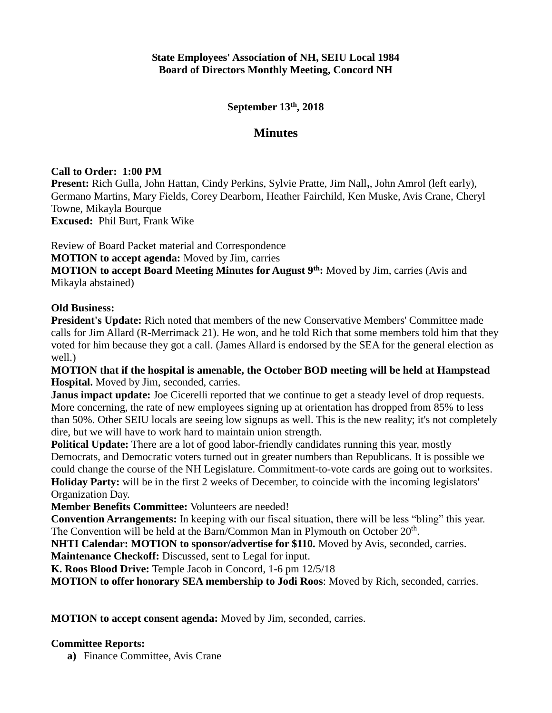**September 13th, 2018**

## **Minutes**

## **Call to Order: 1:00 PM**

**Present:** Rich Gulla, John Hattan, Cindy Perkins, Sylvie Pratte, Jim Nall**,**, John Amrol (left early), Germano Martins, Mary Fields, Corey Dearborn, Heather Fairchild, Ken Muske, Avis Crane, Cheryl Towne, Mikayla Bourque **Excused:** Phil Burt, Frank Wike

Review of Board Packet material and Correspondence

**MOTION to accept agenda:** Moved by Jim, carries

**MOTION to accept Board Meeting Minutes for August 9th:** Moved by Jim, carries (Avis and Mikayla abstained)

## **Old Business:**

**President's Update:** Rich noted that members of the new Conservative Members' Committee made calls for Jim Allard (R-Merrimack 21). He won, and he told Rich that some members told him that they voted for him because they got a call. (James Allard is endorsed by the SEA for the general election as well.)

**MOTION that if the hospital is amenable, the October BOD meeting will be held at Hampstead Hospital.** Moved by Jim, seconded, carries.

**Janus impact update:** Joe Cicerelli reported that we continue to get a steady level of drop requests. More concerning, the rate of new employees signing up at orientation has dropped from 85% to less than 50%. Other SEIU locals are seeing low signups as well. This is the new reality; it's not completely dire, but we will have to work hard to maintain union strength.

**Political Update:** There are a lot of good labor-friendly candidates running this year, mostly Democrats, and Democratic voters turned out in greater numbers than Republicans. It is possible we could change the course of the NH Legislature. Commitment-to-vote cards are going out to worksites. **Holiday Party:** will be in the first 2 weeks of December, to coincide with the incoming legislators' Organization Day.

**Member Benefits Committee:** Volunteers are needed!

**Convention Arrangements:** In keeping with our fiscal situation, there will be less "bling" this year. The Convention will be held at the Barn/Common Man in Plymouth on October 20<sup>th</sup>.

**NHTI Calendar: MOTION to sponsor/advertise for \$110.** Moved by Avis, seconded, carries. **Maintenance Checkoff:** Discussed, sent to Legal for input.

**K. Roos Blood Drive:** Temple Jacob in Concord, 1-6 pm 12/5/18

**MOTION to offer honorary SEA membership to Jodi Roos**: Moved by Rich, seconded, carries.

**MOTION to accept consent agenda:** Moved by Jim, seconded, carries.

## **Committee Reports:**

**a)** Finance Committee, Avis Crane